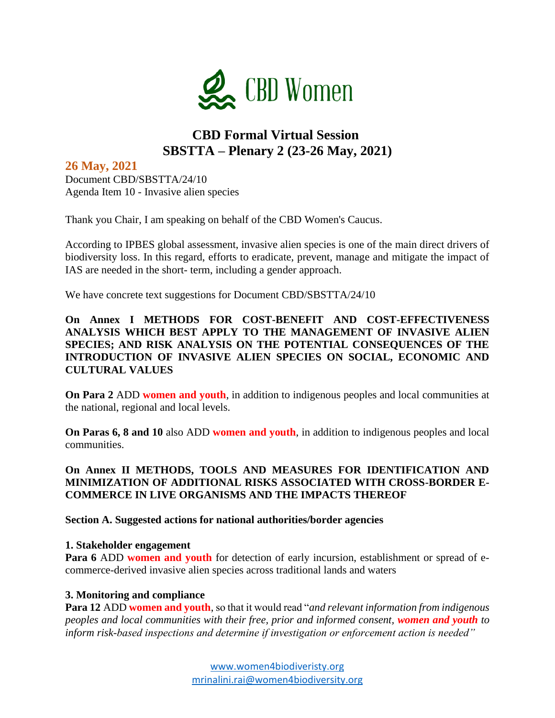

# **CBD Formal Virtual Session SBSTTA – Plenary 2 (23-26 May, 2021)**

## **26 May, 2021**

Document CBD/SBSTTA/24/10 Agenda Item 10 - Invasive alien species

Thank you Chair, I am speaking on behalf of the CBD Women's Caucus.

According to IPBES global assessment, invasive alien species is one of the main direct drivers of biodiversity loss. In this regard, efforts to eradicate, prevent, manage and mitigate the impact of IAS are needed in the short- term, including a gender approach.

We have concrete text suggestions for Document CBD/SBSTTA/24/10

**On Annex I METHODS FOR COST-BENEFIT AND COST-EFFECTIVENESS ANALYSIS WHICH BEST APPLY TO THE MANAGEMENT OF INVASIVE ALIEN SPECIES; AND RISK ANALYSIS ON THE POTENTIAL CONSEQUENCES OF THE INTRODUCTION OF INVASIVE ALIEN SPECIES ON SOCIAL, ECONOMIC AND CULTURAL VALUES**

**On Para 2** ADD **women and youth**, in addition to indigenous peoples and local communities at the national, regional and local levels.

**On Paras 6, 8 and 10** also ADD **women and youth**, in addition to indigenous peoples and local communities.

## **On Annex II METHODS, TOOLS AND MEASURES FOR IDENTIFICATION AND MINIMIZATION OF ADDITIONAL RISKS ASSOCIATED WITH CROSS-BORDER E-COMMERCE IN LIVE ORGANISMS AND THE IMPACTS THEREOF**

**Section A. Suggested actions for national authorities/border agencies**

### **1. Stakeholder engagement**

**Para 6 ADD women and youth** for detection of early incursion, establishment or spread of ecommerce-derived invasive alien species across traditional lands and waters

### **3. Monitoring and compliance**

**Para 12** ADD **women and youth**, so that it would read "*and relevant information from indigenous peoples and local communities with their free, prior and informed consent, women and youth to inform risk-based inspections and determine if investigation or enforcement action is needed"*